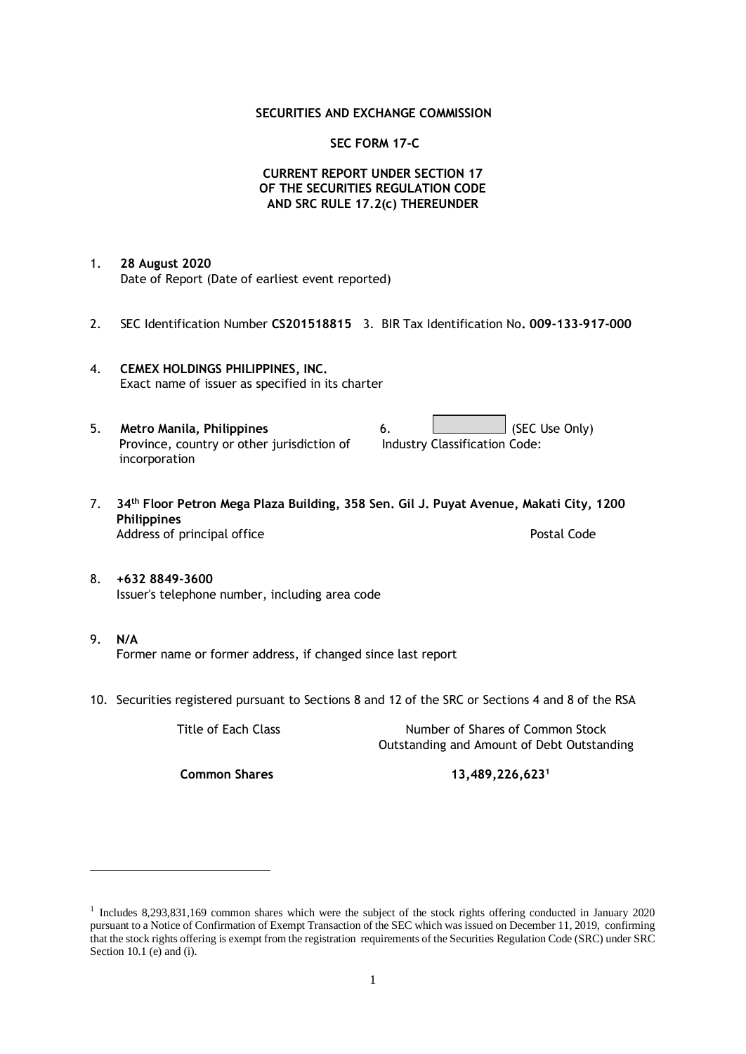#### **SECURITIES AND EXCHANGE COMMISSION**

#### **SEC FORM 17-C**

## **CURRENT REPORT UNDER SECTION 17 OF THE SECURITIES REGULATION CODE AND SRC RULE 17.2(c) THEREUNDER**

- 1. **28 August 2020** Date of Report (Date of earliest event reported)
- 2. SEC Identification Number **CS201518815** 3. BIR Tax Identification No**. 009-133-917-000**
- 4. **CEMEX HOLDINGS PHILIPPINES, INC.** Exact name of issuer as specified in its charter
- 5. **Metro Manila, Philippines** 6. **Consumers 6.** (SEC Use Only) Province, country or other jurisdiction of incorporation Industry Classification Code:
- 7. **34th Floor Petron Mega Plaza Building, 358 Sen. Gil J. Puyat Avenue, Makati City, 1200 Philippines** Address of principal office **Postal Code** Postal Code
- 8. **+632 8849-3600** Issuer's telephone number, including area code
- 9. **N/A** Former name or former address, if changed since last report
- 10. Securities registered pursuant to Sections 8 and 12 of the SRC or Sections 4 and 8 of the RSA

Title of Each Class Number of Shares of Common Stock Outstanding and Amount of Debt Outstanding

**Common Shares 13,489,226,623<sup>1</sup>**

<sup>&</sup>lt;sup>1</sup> Includes 8,293,831,169 common shares which were the subject of the stock rights offering conducted in January 2020 pursuant to a Notice of Confirmation of Exempt Transaction of the SEC which was issued on December 11, 2019, confirming that the stock rights offering is exempt from the registration requirements of the Securities Regulation Code (SRC) under SRC Section 10.1 (e) and (i).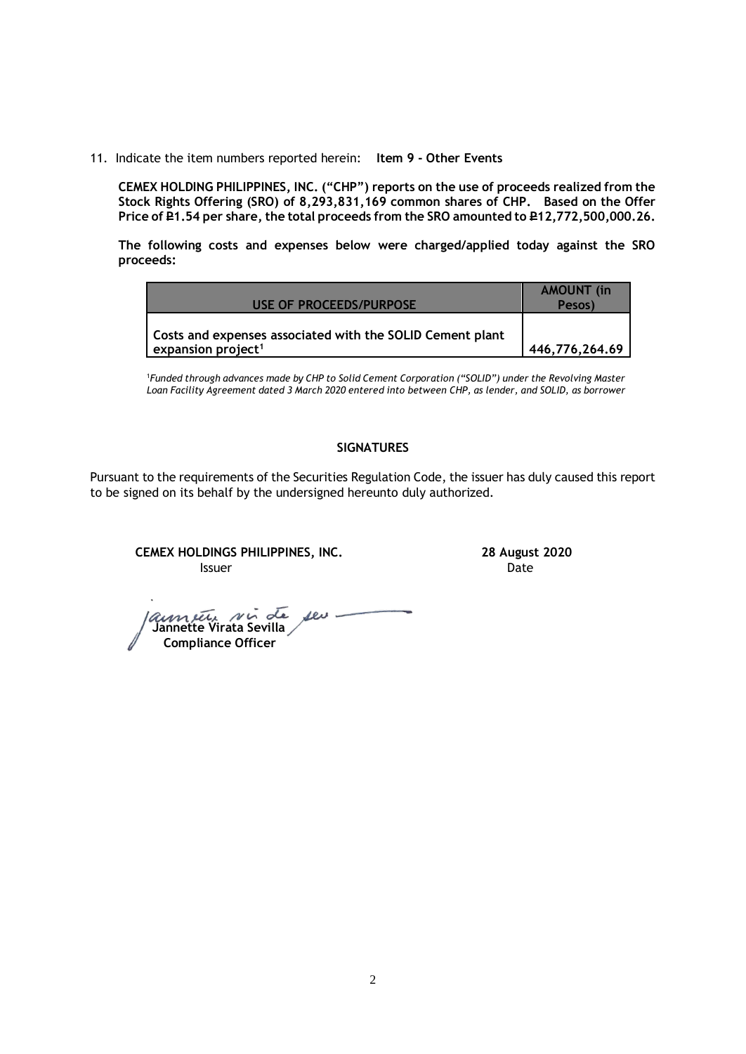11. Indicate the item numbers reported herein: **Item 9 - Other Events**

**CEMEX HOLDING PHILIPPINES, INC. ("CHP") reports on the use of proceeds realized from the Stock Rights Offering (SRO) of 8,293,831,169 common shares of CHP. Based on the Offer**  Price of P1.54 per share, the total proceeds from the SRO amounted to P12,772,500,000.26.

**The following costs and expenses below were charged/applied today against the SRO proceeds:**

| USE OF PROCEEDS/PURPOSE                                                                     | <b>AMOUNT</b> (in<br>Pesos) |
|---------------------------------------------------------------------------------------------|-----------------------------|
| Costs and expenses associated with the SOLID Cement plant<br>expansion project <sup>1</sup> | 446,776,264.69              |

1 *Funded through advances made by CHP to Solid Cement Corporation ("SOLID") under the Revolving Master Loan Facility Agreement dated 3 March 2020 entered into between CHP, as lender, and SOLID, as borrower*

## **SIGNATURES**

Pursuant to the requirements of the Securities Regulation Code, the issuer has duly caused this report to be signed on its behalf by the undersigned hereunto duly authorized.

**CEMEX HOLDINGS PHILIPPINES, INC. 28 August 2020 Issuer Date** 

 **Jannette Virata Sevilla Compliance Officer**